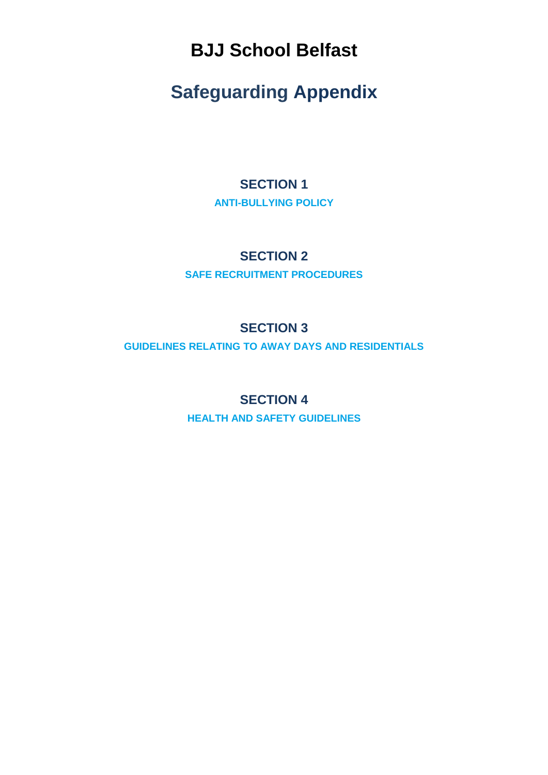**BJJ School Belfast**

# **Safeguarding Appendix**

### **SECTION 1 ANTI-BULLYING POLICY**

### **SECTION 2**

**SAFE RECRUITMENT PROCEDURES**

### **SECTION 3**

**GUIDELINES RELATING TO AWAY DAYS AND RESIDENTIALS**

### **SECTION 4**

**HEALTH AND SAFETY GUIDELINES**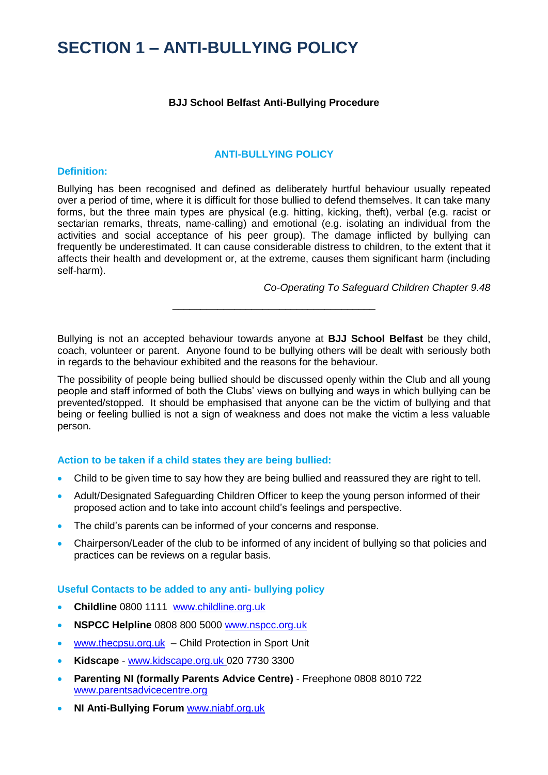## **SECTION 1 – ANTI-BULLYING POLICY**

#### **BJJ School Belfast Anti-Bullying Procedure**

#### **ANTI-BULLYING POLICY**

#### **Definition:**

Bullying has been recognised and defined as deliberately hurtful behaviour usually repeated over a period of time, where it is difficult for those bullied to defend themselves. It can take many forms, but the three main types are physical (e.g. hitting, kicking, theft), verbal (e.g. racist or sectarian remarks, threats, name-calling) and emotional (e.g. isolating an individual from the activities and social acceptance of his peer group). The damage inflicted by bullying can frequently be underestimated. It can cause considerable distress to children, to the extent that it affects their health and development or, at the extreme, causes them significant harm (including self-harm).

*Co-Operating To Safeguard Children Chapter 9.48*

Bullying is not an accepted behaviour towards anyone at **BJJ School Belfast** be they child, coach, volunteer or parent. Anyone found to be bullying others will be dealt with seriously both in regards to the behaviour exhibited and the reasons for the behaviour.

\_\_\_\_\_\_\_\_\_\_\_\_\_\_\_\_\_\_\_\_\_\_\_\_\_\_\_\_\_\_\_\_\_\_\_\_

The possibility of people being bullied should be discussed openly within the Club and all young people and staff informed of both the Clubs' views on bullying and ways in which bullying can be prevented/stopped. It should be emphasised that anyone can be the victim of bullying and that being or feeling bullied is not a sign of weakness and does not make the victim a less valuable person.

#### **Action to be taken if a child states they are being bullied:**

- Child to be given time to say how they are being bullied and reassured they are right to tell.
- Adult/Designated Safeguarding Children Officer to keep the young person informed of their proposed action and to take into account child's feelings and perspective.
- The child's parents can be informed of your concerns and response.
- Chairperson/Leader of the club to be informed of any incident of bullying so that policies and practices can be reviews on a regular basis.

#### **Useful Contacts to be added to any anti- bullying policy**

- **Childline** 0800 1111 [www.childline.org.uk](http://www.childline.org.uk/NI.asp)
- **NSPCC Helpline** 0808 800 5000 [www.nspcc.org.uk](http://www.nspcc.org.uk/)
- [www.thecpsu.org.uk](http://www.thecpsu.org.uk/) Child Protection in Sport Unit
- **Kidscape** [www.kidscape.org.uk](http://www.kidscape.org.uk/) 020 7730 3300
- **Parenting NI (formally Parents Advice Centre)** Freephone 0808 8010 722 [www.parentsadvicecentre.org](http://www.parentsadvicecentre.org/)
- **NI Anti-Bullying Forum** [www.niabf.org.uk](http://www.niabf.org.uk/)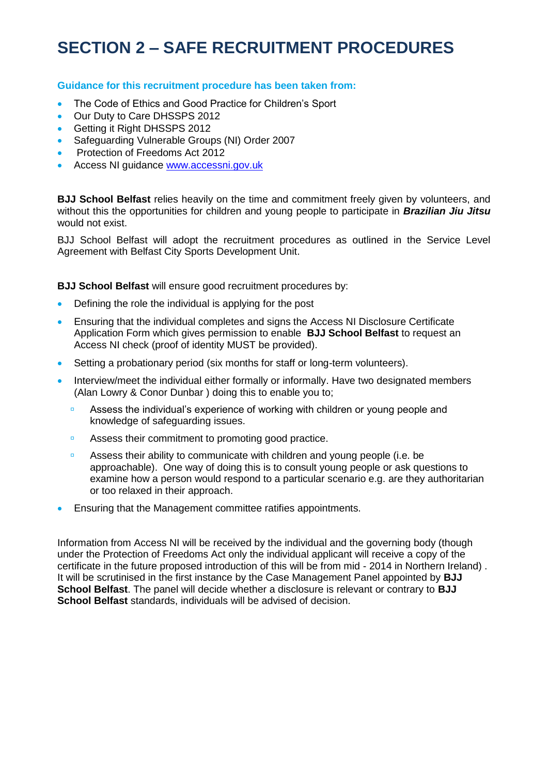## **SECTION 2 – SAFE RECRUITMENT PROCEDURES**

#### **Guidance for this recruitment procedure has been taken from:**

- The Code of Ethics and Good Practice for Children's Sport
- Our Duty to Care DHSSPS 2012
- **Getting it Right DHSSPS 2012**
- Safeguarding Vulnerable Groups (NI) Order 2007
- Protection of Freedoms Act 2012
- Access NI guidance [www.accessni.gov.uk](http://www.accessni.gov.uk/)

**BJJ School Belfast** relies heavily on the time and commitment freely given by volunteers, and without this the opportunities for children and young people to participate in *Brazilian Jiu Jitsu*  would not exist.

BJJ School Belfast will adopt the recruitment procedures as outlined in the Service Level Agreement with Belfast City Sports Development Unit.

**BJJ School Belfast** will ensure good recruitment procedures by:

- Defining the role the individual is applying for the post
- Ensuring that the individual completes and signs the Access NI Disclosure Certificate Application Form which gives permission to enable **BJJ School Belfast** to request an Access NI check (proof of identity MUST be provided).
- Setting a probationary period (six months for staff or long-term volunteers).
- Interview/meet the individual either formally or informally. Have two designated members (Alan Lowry & Conor Dunbar ) doing this to enable you to;
	- **EXECTS** Assess the individual's experience of working with children or young people and knowledge of safeguarding issues.
	- **EXECUTE:** Assess their commitment to promoting good practice.
	- **EXECTS** Assess their ability to communicate with children and young people (i.e. be approachable). One way of doing this is to consult young people or ask questions to examine how a person would respond to a particular scenario e.g. are they authoritarian or too relaxed in their approach.
- Ensuring that the Management committee ratifies appointments.

Information from Access NI will be received by the individual and the governing body (though under the Protection of Freedoms Act only the individual applicant will receive a copy of the certificate in the future proposed introduction of this will be from mid - 2014 in Northern Ireland) . It will be scrutinised in the first instance by the Case Management Panel appointed by **BJJ School Belfast**. The panel will decide whether a disclosure is relevant or contrary to **BJJ School Belfast** standards, individuals will be advised of decision.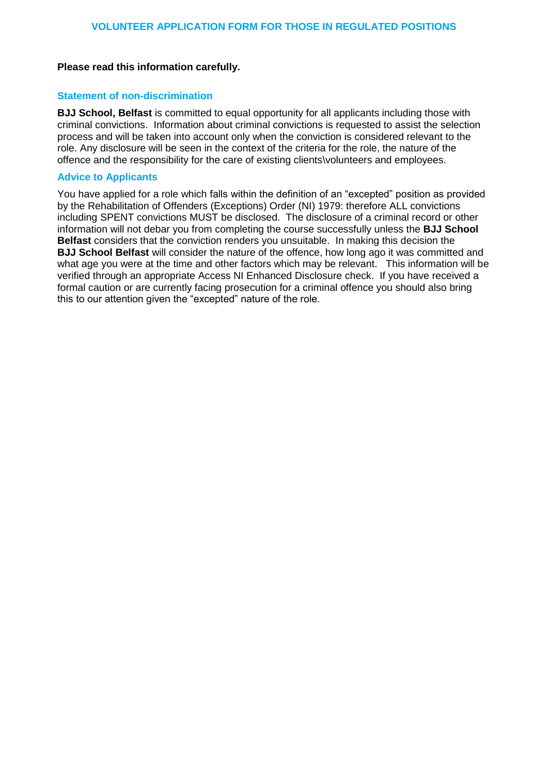#### **Please read this information carefully.**

#### **Statement of non-discrimination**

**BJJ School, Belfast** is committed to equal opportunity for all applicants including those with criminal convictions. Information about criminal convictions is requested to assist the selection process and will be taken into account only when the conviction is considered relevant to the role. Any disclosure will be seen in the context of the criteria for the role, the nature of the offence and the responsibility for the care of existing clients\volunteers and employees.

#### **Advice to Applicants**

You have applied for a role which falls within the definition of an "excepted" position as provided by the Rehabilitation of Offenders (Exceptions) Order (NI) 1979: therefore ALL convictions including SPENT convictions MUST be disclosed. The disclosure of a criminal record or other information will not debar you from completing the course successfully unless the **BJJ School Belfast** considers that the conviction renders you unsuitable. In making this decision the **BJJ School Belfast** will consider the nature of the offence, how long ago it was committed and what age you were at the time and other factors which may be relevant. This information will be verified through an appropriate Access NI Enhanced Disclosure check. If you have received a formal caution or are currently facing prosecution for a criminal offence you should also bring this to our attention given the "excepted" nature of the role.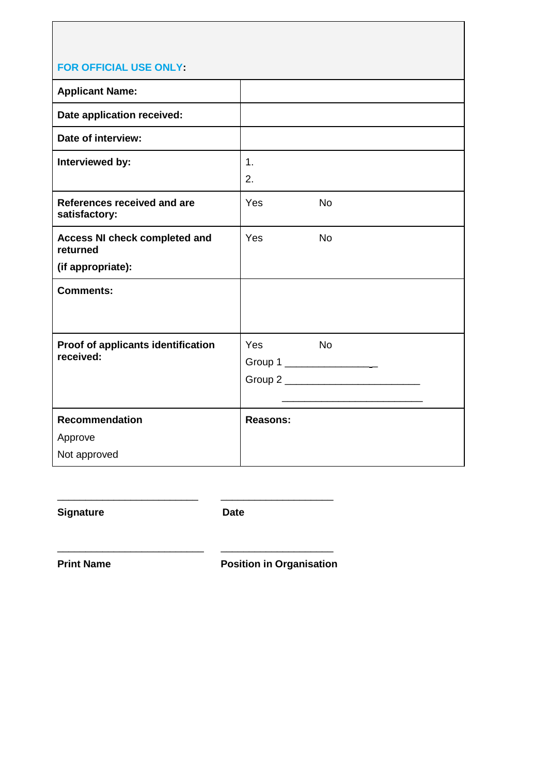| <u>I UN UI I IUIAL UJL UNLI.</u>                 |                 |           |
|--------------------------------------------------|-----------------|-----------|
| <b>Applicant Name:</b>                           |                 |           |
| Date application received:                       |                 |           |
| Date of interview:                               |                 |           |
| Interviewed by:                                  | 1.              |           |
|                                                  | 2.              |           |
| References received and are<br>satisfactory:     | Yes             | <b>No</b> |
| <b>Access NI check completed and</b><br>returned | Yes             | <b>No</b> |
| (if appropriate):                                |                 |           |
| <b>Comments:</b>                                 |                 |           |
| Proof of applicants identification<br>received:  | Yes<br>Group 1  | <b>No</b> |
| Recommendation                                   | <b>Reasons:</b> |           |
| Approve                                          |                 |           |
| Not approved                                     |                 |           |

Signature **Date** 

\_\_\_\_\_\_\_\_\_\_\_\_\_\_\_\_\_\_\_\_\_\_\_\_\_ \_\_\_\_\_\_\_\_\_\_\_\_\_\_\_\_\_\_\_\_

\_\_\_\_\_\_\_\_\_\_\_\_\_\_\_\_\_\_\_\_\_\_\_\_\_\_ \_\_\_\_\_\_\_\_\_\_\_\_\_\_\_\_\_\_\_\_

**Print Name**  Position in Organisation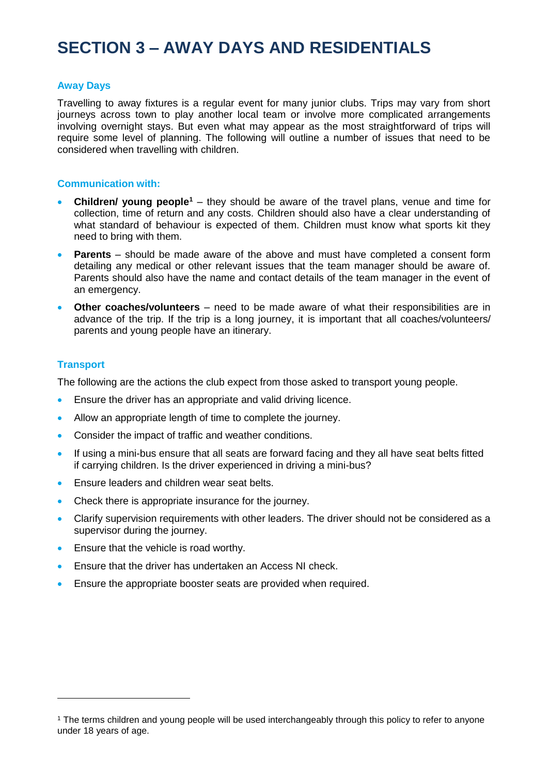## **SECTION 3 – AWAY DAYS AND RESIDENTIALS**

#### **Away Days**

Travelling to away fixtures is a regular event for many junior clubs. Trips may vary from short journeys across town to play another local team or involve more complicated arrangements involving overnight stays. But even what may appear as the most straightforward of trips will require some level of planning. The following will outline a number of issues that need to be considered when travelling with children.

#### **Communication with:**

- **Children/ young people<sup>1</sup>** they should be aware of the travel plans, venue and time for collection, time of return and any costs. Children should also have a clear understanding of what standard of behaviour is expected of them. Children must know what sports kit they need to bring with them.
- **Parents** should be made aware of the above and must have completed a consent form detailing any medical or other relevant issues that the team manager should be aware of. Parents should also have the name and contact details of the team manager in the event of an emergency.
- **Other coaches/volunteers** need to be made aware of what their responsibilities are in advance of the trip. If the trip is a long journey, it is important that all coaches/volunteers/ parents and young people have an itinerary.

#### **Transport**

The following are the actions the club expect from those asked to transport young people.

- Ensure the driver has an appropriate and valid driving licence.
- Allow an appropriate length of time to complete the journey.
- Consider the impact of traffic and weather conditions.
- If using a mini-bus ensure that all seats are forward facing and they all have seat belts fitted if carrying children. Is the driver experienced in driving a mini-bus?
- Ensure leaders and children wear seat belts.
- Check there is appropriate insurance for the journey.
- Clarify supervision requirements with other leaders. The driver should not be considered as a supervisor during the journey.
- Ensure that the vehicle is road worthy.
- Ensure that the driver has undertaken an Access NI check.
- **Ensure the appropriate booster seats are provided when required.**

<sup>1</sup> The terms children and young people will be used interchangeably through this policy to refer to anyone under 18 years of age.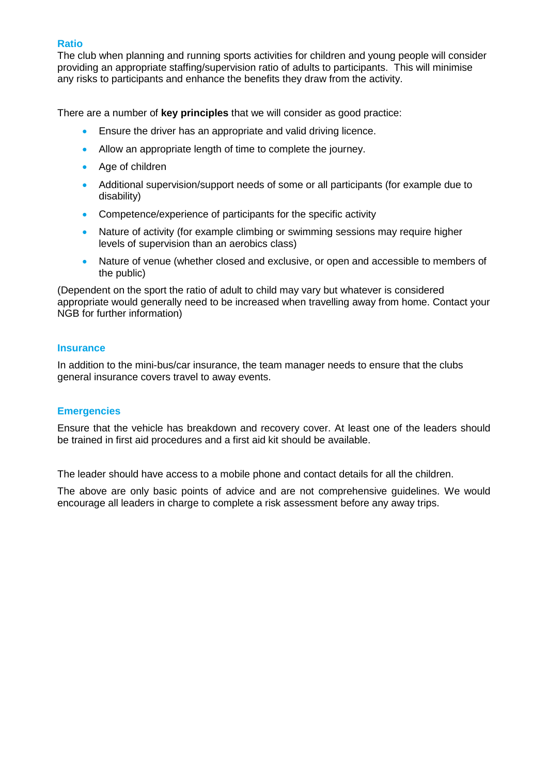#### **Ratio**

The club when planning and running sports activities for children and young people will consider providing an appropriate staffing/supervision ratio of adults to participants. This will minimise any risks to participants and enhance the benefits they draw from the activity.

There are a number of **key principles** that we will consider as good practice:

- **Ensure the driver has an appropriate and valid driving licence.**
- Allow an appropriate length of time to complete the journey.
- Age of children
- Additional supervision/support needs of some or all participants (for example due to disability)
- Competence/experience of participants for the specific activity
- Nature of activity (for example climbing or swimming sessions may require higher levels of supervision than an aerobics class)
- Nature of venue (whether closed and exclusive, or open and accessible to members of the public)

(Dependent on the sport the ratio of adult to child may vary but whatever is considered appropriate would generally need to be increased when travelling away from home. Contact your NGB for further information)

#### **Insurance**

In addition to the mini-bus/car insurance, the team manager needs to ensure that the clubs general insurance covers travel to away events.

#### **Emergencies**

Ensure that the vehicle has breakdown and recovery cover. At least one of the leaders should be trained in first aid procedures and a first aid kit should be available.

The leader should have access to a mobile phone and contact details for all the children.

The above are only basic points of advice and are not comprehensive guidelines. We would encourage all leaders in charge to complete a risk assessment before any away trips.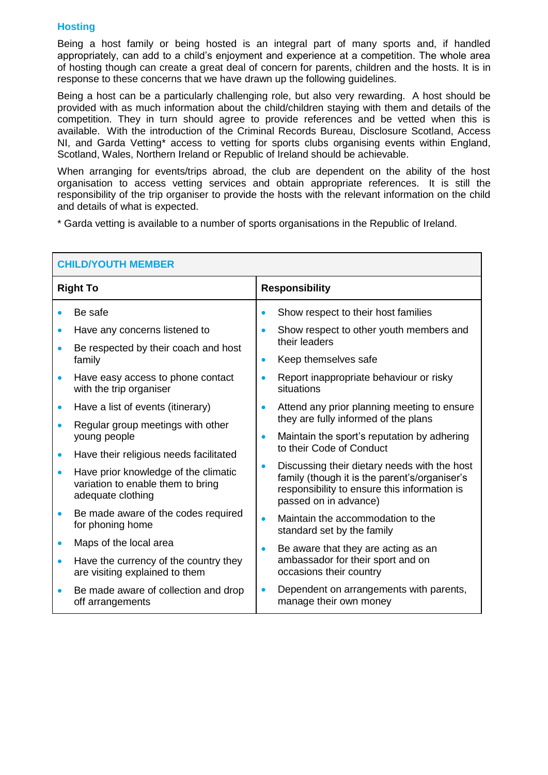#### **Hosting**

Being a host family or being hosted is an integral part of many sports and, if handled appropriately, can add to a child's enjoyment and experience at a competition. The whole area of hosting though can create a great deal of concern for parents, children and the hosts. It is in response to these concerns that we have drawn up the following guidelines.

Being a host can be a particularly challenging role, but also very rewarding. A host should be provided with as much information about the child/children staying with them and details of the competition. They in turn should agree to provide references and be vetted when this is available. With the introduction of the Criminal Records Bureau, Disclosure Scotland, Access NI, and Garda Vetting\* access to vetting for sports clubs organising events within England, Scotland, Wales, Northern Ireland or Republic of Ireland should be achievable.

When arranging for events/trips abroad, the club are dependent on the ability of the host organisation to access vetting services and obtain appropriate references. It is still the responsibility of the trip organiser to provide the hosts with the relevant information on the child and details of what is expected.

\* Garda vetting is available to a number of sports organisations in the Republic of Ireland.

| <b>CHILD/YOUTH MEMBER</b> |                                                                                                |  |                                                                                                                                                                        |
|---------------------------|------------------------------------------------------------------------------------------------|--|------------------------------------------------------------------------------------------------------------------------------------------------------------------------|
|                           | <b>Responsibility</b><br><b>Right To</b>                                                       |  |                                                                                                                                                                        |
|                           | Be safe                                                                                        |  | Show respect to their host families                                                                                                                                    |
|                           | Have any concerns listened to                                                                  |  | Show respect to other youth members and                                                                                                                                |
|                           | Be respected by their coach and host<br>family                                                 |  | their leaders                                                                                                                                                          |
|                           |                                                                                                |  | Keep themselves safe                                                                                                                                                   |
|                           | Have easy access to phone contact<br>with the trip organiser                                   |  | Report inappropriate behaviour or risky<br>situations                                                                                                                  |
|                           | Have a list of events (itinerary)                                                              |  | Attend any prior planning meeting to ensure                                                                                                                            |
|                           | Regular group meetings with other                                                              |  | they are fully informed of the plans                                                                                                                                   |
|                           | young people                                                                                   |  | Maintain the sport's reputation by adhering<br>to their Code of Conduct                                                                                                |
|                           | Have their religious needs facilitated                                                         |  |                                                                                                                                                                        |
| $\bullet$                 | Have prior knowledge of the climatic<br>variation to enable them to bring<br>adequate clothing |  | Discussing their dietary needs with the host<br>family (though it is the parent's/organiser's<br>responsibility to ensure this information is<br>passed on in advance) |
|                           | Be made aware of the codes required<br>for phoning home                                        |  | Maintain the accommodation to the<br>standard set by the family                                                                                                        |
| $\bullet$                 | Maps of the local area                                                                         |  | Be aware that they are acting as an                                                                                                                                    |
| $\bullet$                 | Have the currency of the country they<br>are visiting explained to them                        |  | ambassador for their sport and on<br>occasions their country                                                                                                           |
|                           | Be made aware of collection and drop<br>off arrangements                                       |  | Dependent on arrangements with parents,<br>manage their own money                                                                                                      |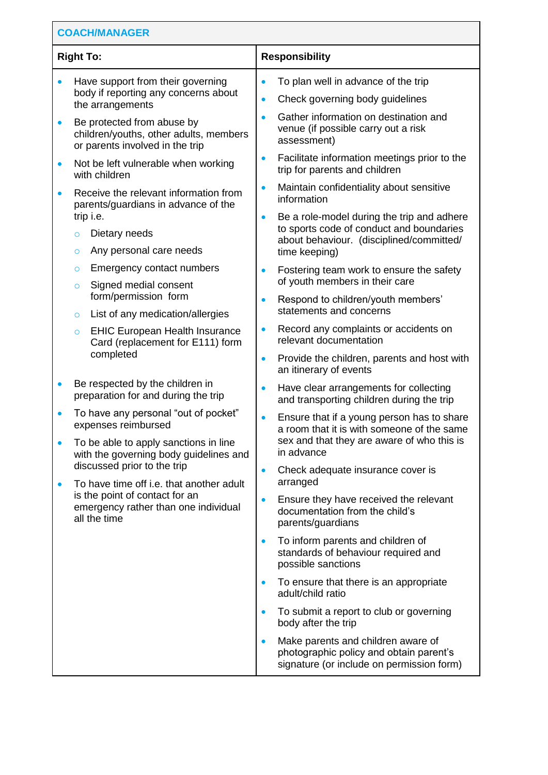| <b>COACH/MANAGER</b> |                                                                                                                                            |                        |                                                                                                                                    |
|----------------------|--------------------------------------------------------------------------------------------------------------------------------------------|------------------------|------------------------------------------------------------------------------------------------------------------------------------|
| <b>Right To:</b>     |                                                                                                                                            | <b>Responsibility</b>  |                                                                                                                                    |
|                      | Have support from their governing<br>body if reporting any concerns about                                                                  | $\bullet$<br>$\bullet$ | To plan well in advance of the trip<br>Check governing body guidelines                                                             |
| $\bullet$            | the arrangements<br>Be protected from abuse by<br>children/youths, other adults, members<br>or parents involved in the trip                | $\bullet$              | Gather information on destination and<br>venue (if possible carry out a risk<br>assessment)                                        |
| $\bullet$            | Not be left vulnerable when working<br>with children                                                                                       | $\bullet$              | Facilitate information meetings prior to the<br>trip for parents and children                                                      |
|                      | Receive the relevant information from<br>parents/guardians in advance of the                                                               | $\bullet$              | Maintain confidentiality about sensitive<br>information                                                                            |
|                      | trip i.e.<br>Dietary needs<br>$\circ$<br>Any personal care needs<br>$\circ$                                                                | time keeping)          | Be a role-model during the trip and adhere<br>to sports code of conduct and boundaries<br>about behaviour. (disciplined/committed/ |
|                      | Emergency contact numbers<br>$\circ$<br>Signed medial consent<br>$\circ$                                                                   |                        | Fostering team work to ensure the safety<br>of youth members in their care                                                         |
|                      | form/permission form                                                                                                                       |                        | Respond to children/youth members'<br>statements and concerns                                                                      |
|                      | List of any medication/allergies<br>O<br><b>EHIC European Health Insurance</b><br>$\circ$<br>Card (replacement for E111) form<br>completed | $\bullet$              | Record any complaints or accidents on<br>relevant documentation                                                                    |
|                      |                                                                                                                                            | $\bullet$              | Provide the children, parents and host with<br>an itinerary of events                                                              |
|                      | Be respected by the children in<br>preparation for and during the trip                                                                     |                        | Have clear arrangements for collecting<br>and transporting children during the trip                                                |
|                      | To have any personal "out of pocket"<br>expenses reimbursed                                                                                | $\bullet$              | Ensure that if a young person has to share<br>a room that it is with someone of the same                                           |
|                      | To be able to apply sanctions in line<br>with the governing body guidelines and                                                            |                        | sex and that they are aware of who this is<br>in advance                                                                           |
| $\bullet$            | discussed prior to the trip<br>To have time off i.e. that another adult                                                                    | $\bullet$<br>arranged  | Check adequate insurance cover is                                                                                                  |
|                      | is the point of contact for an<br>emergency rather than one individual<br>all the time                                                     | $\bullet$              | Ensure they have received the relevant<br>documentation from the child's<br>parents/guardians                                      |
|                      |                                                                                                                                            | $\bullet$              | To inform parents and children of<br>standards of behaviour required and<br>possible sanctions                                     |
|                      |                                                                                                                                            | $\bullet$              | To ensure that there is an appropriate<br>adult/child ratio                                                                        |
|                      |                                                                                                                                            |                        | To submit a report to club or governing<br>body after the trip                                                                     |
|                      |                                                                                                                                            |                        | Make parents and children aware of<br>photographic policy and obtain parent's<br>signature (or include on permission form)         |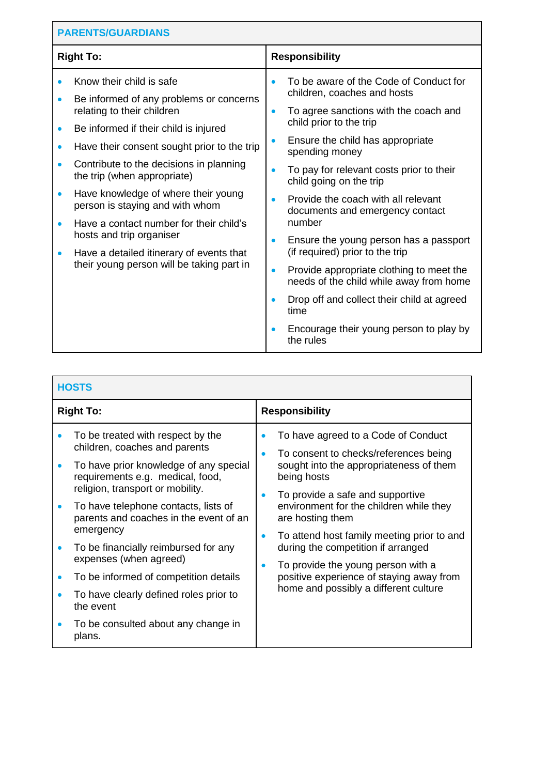| <b>PARENTS/GUARDIANS</b>                         |                                                                                                                                                                                                                                                                                                                                               |                        |                                                                                                                                                                                                                                                                                                                                                  |  |
|--------------------------------------------------|-----------------------------------------------------------------------------------------------------------------------------------------------------------------------------------------------------------------------------------------------------------------------------------------------------------------------------------------------|------------------------|--------------------------------------------------------------------------------------------------------------------------------------------------------------------------------------------------------------------------------------------------------------------------------------------------------------------------------------------------|--|
| <b>Right To:</b>                                 |                                                                                                                                                                                                                                                                                                                                               |                        | <b>Responsibility</b>                                                                                                                                                                                                                                                                                                                            |  |
| $\bullet$<br>$\bullet$<br>$\bullet$<br>$\bullet$ | Know their child is safe<br>Be informed of any problems or concerns<br>relating to their children<br>Be informed if their child is injured<br>Have their consent sought prior to the trip<br>Contribute to the decisions in planning<br>the trip (when appropriate)<br>Have knowledge of where their young<br>person is staying and with whom | $\bullet$<br>$\bullet$ | To be aware of the Code of Conduct for<br>children, coaches and hosts<br>To agree sanctions with the coach and<br>child prior to the trip<br>Ensure the child has appropriate<br>spending money<br>To pay for relevant costs prior to their<br>child going on the trip<br>Provide the coach with all relevant<br>documents and emergency contact |  |
| $\bullet$<br>$\bullet$                           | Have a contact number for their child's<br>hosts and trip organiser<br>Have a detailed itinerary of events that<br>their young person will be taking part in                                                                                                                                                                                  | $\bullet$<br>$\bullet$ | number<br>Ensure the young person has a passport<br>(if required) prior to the trip<br>Provide appropriate clothing to meet the<br>needs of the child while away from home<br>Drop off and collect their child at agreed<br>time<br>Encourage their young person to play by<br>the rules                                                         |  |

| <b>HOSTS</b>                                                                                                                                                                                                                                                                                                                                                                                                                                                                                           |                                                                                                                                                                                                                                                                                                                                                                                                                                                          |  |
|--------------------------------------------------------------------------------------------------------------------------------------------------------------------------------------------------------------------------------------------------------------------------------------------------------------------------------------------------------------------------------------------------------------------------------------------------------------------------------------------------------|----------------------------------------------------------------------------------------------------------------------------------------------------------------------------------------------------------------------------------------------------------------------------------------------------------------------------------------------------------------------------------------------------------------------------------------------------------|--|
| <b>Right To:</b>                                                                                                                                                                                                                                                                                                                                                                                                                                                                                       | <b>Responsibility</b>                                                                                                                                                                                                                                                                                                                                                                                                                                    |  |
| To be treated with respect by the<br>children, coaches and parents<br>To have prior knowledge of any special<br>requirements e.g. medical, food,<br>religion, transport or mobility.<br>To have telephone contacts, lists of<br>parents and coaches in the event of an<br>emergency<br>To be financially reimbursed for any<br>expenses (when agreed)<br>To be informed of competition details<br>To have clearly defined roles prior to<br>the event<br>To be consulted about any change in<br>plans. | To have agreed to a Code of Conduct<br>To consent to checks/references being<br>sought into the appropriateness of them<br>being hosts<br>To provide a safe and supportive<br>environment for the children while they<br>are hosting them<br>To attend host family meeting prior to and<br>during the competition if arranged<br>To provide the young person with a<br>positive experience of staying away from<br>home and possibly a different culture |  |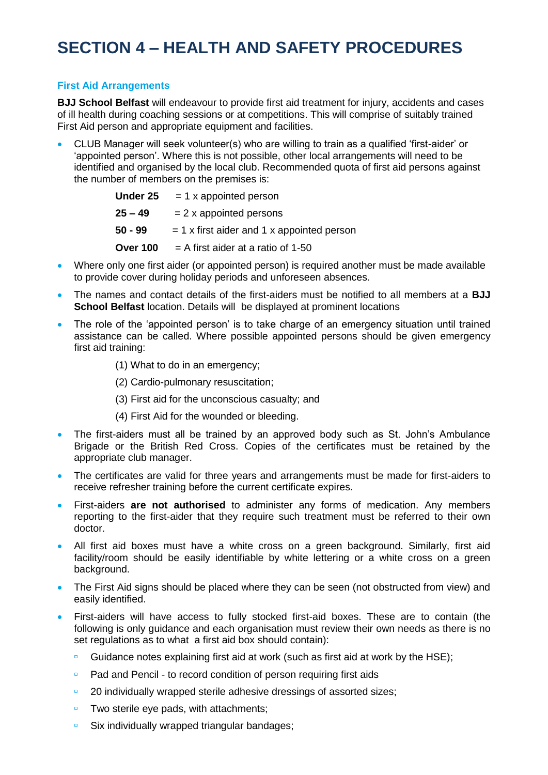## **SECTION 4 – HEALTH AND SAFETY PROCEDURES**

#### **First Aid Arrangements**

**BJJ School Belfast** will endeavour to provide first aid treatment for injury, accidents and cases of ill health during coaching sessions or at competitions. This will comprise of suitably trained First Aid person and appropriate equipment and facilities.

 CLUB Manager will seek volunteer(s) who are willing to train as a qualified 'first-aider' or 'appointed person'. Where this is not possible, other local arrangements will need to be identified and organised by the local club. Recommended quota of first aid persons against the number of members on the premises is:

| Under 25        | $= 1$ x appointed person                     |
|-----------------|----------------------------------------------|
| $25 - 49$       | $= 2x$ appointed persons                     |
| 50 - 99         | $= 1$ x first aider and 1 x appointed person |
| <b>Over 100</b> | $=$ A first aider at a ratio of 1-50         |

- Where only one first aider (or appointed person) is required another must be made available to provide cover during holiday periods and unforeseen absences.
- The names and contact details of the first-aiders must be notified to all members at a **BJJ School Belfast** location. Details will be displayed at prominent locations
- The role of the 'appointed person' is to take charge of an emergency situation until trained assistance can be called. Where possible appointed persons should be given emergency first aid training:
	- (1) What to do in an emergency;
	- (2) Cardio-pulmonary resuscitation;
	- (3) First aid for the unconscious casualty; and
	- (4) First Aid for the wounded or bleeding.
- The first-aiders must all be trained by an approved body such as St. John's Ambulance Brigade or the British Red Cross. Copies of the certificates must be retained by the appropriate club manager.
- The certificates are valid for three years and arrangements must be made for first-aiders to receive refresher training before the current certificate expires.
- First-aiders **are not authorised** to administer any forms of medication. Any members reporting to the first-aider that they require such treatment must be referred to their own doctor.
- All first aid boxes must have a white cross on a green background. Similarly, first aid facility/room should be easily identifiable by white lettering or a white cross on a green background.
- The First Aid signs should be placed where they can be seen (not obstructed from view) and easily identified.
- First-aiders will have access to fully stocked first-aid boxes. These are to contain (the following is only guidance and each organisation must review their own needs as there is no set regulations as to what a first aid box should contain):
	- Guidance notes explaining first aid at work (such as first aid at work by the HSE);
	- **Pad and Pencil to record condition of person requiring first aids**
	- <sup>2</sup> 20 individually wrapped sterile adhesive dressings of assorted sizes:
	- $\blacksquare$  Two sterile eye pads, with attachments;
	- **Six individually wrapped triangular bandages;**